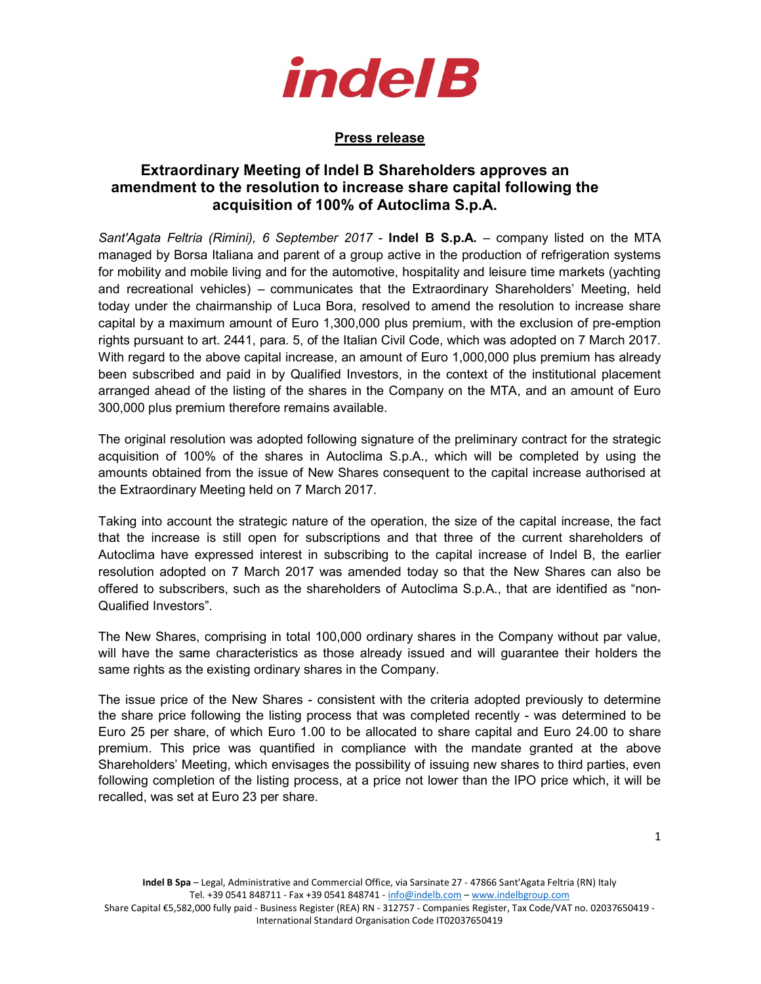

## Press release

## Extraordinary Meeting of Indel B Shareholders approves an amendment to the resolution to increase share capital following the acquisition of 100% of Autoclima S.p.A.

Sant'Agata Feltria (Rimini), 6 September 2017 - Indel B S.p.A. – company listed on the MTA managed by Borsa Italiana and parent of a group active in the production of refrigeration systems for mobility and mobile living and for the automotive, hospitality and leisure time markets (yachting and recreational vehicles) – communicates that the Extraordinary Shareholders' Meeting, held today under the chairmanship of Luca Bora, resolved to amend the resolution to increase share capital by a maximum amount of Euro 1,300,000 plus premium, with the exclusion of pre-emption rights pursuant to art. 2441, para. 5, of the Italian Civil Code, which was adopted on 7 March 2017. With regard to the above capital increase, an amount of Euro 1,000,000 plus premium has already been subscribed and paid in by Qualified Investors, in the context of the institutional placement arranged ahead of the listing of the shares in the Company on the MTA, and an amount of Euro 300,000 plus premium therefore remains available.

The original resolution was adopted following signature of the preliminary contract for the strategic acquisition of 100% of the shares in Autoclima S.p.A., which will be completed by using the amounts obtained from the issue of New Shares consequent to the capital increase authorised at the Extraordinary Meeting held on 7 March 2017.

Taking into account the strategic nature of the operation, the size of the capital increase, the fact that the increase is still open for subscriptions and that three of the current shareholders of Autoclima have expressed interest in subscribing to the capital increase of Indel B, the earlier resolution adopted on 7 March 2017 was amended today so that the New Shares can also be offered to subscribers, such as the shareholders of Autoclima S.p.A., that are identified as "non-Qualified Investors".

The New Shares, comprising in total 100,000 ordinary shares in the Company without par value, will have the same characteristics as those already issued and will guarantee their holders the same rights as the existing ordinary shares in the Company.

The issue price of the New Shares - consistent with the criteria adopted previously to determine the share price following the listing process that was completed recently - was determined to be Euro 25 per share, of which Euro 1.00 to be allocated to share capital and Euro 24.00 to share premium. This price was quantified in compliance with the mandate granted at the above Shareholders' Meeting, which envisages the possibility of issuing new shares to third parties, even following completion of the listing process, at a price not lower than the IPO price which, it will be recalled, was set at Euro 23 per share.